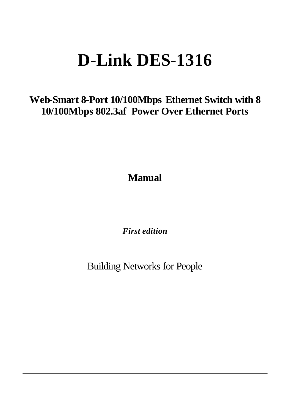# **D-Link DES-1316**

**Web-Smart 8-Port 10/100Mbps Ethernet Switch with 8 10/100Mbps 802.3af Power Over Ethernet Ports**

**Manual**

*First edition*

Building Networks for People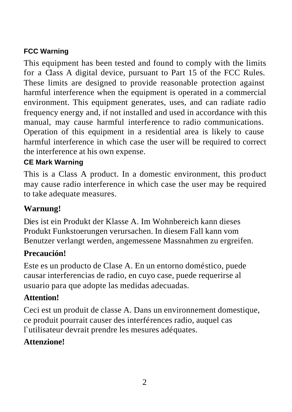#### **FCC Warning**

This equipment has been tested and found to comply with the limits for a Class A digital device, pursuant to Part 15 of the FCC Rules. These limits are designed to provide reasonable protection against harmful interference when the equipment is operated in a commercial environment. This equipment generates, uses, and can radiate radio frequency energy and, if not installed and used in accordance with this manual, may cause harmful interference to radio communications. Operation of this equipment in a residential area is likely to cause harmful interference in which case the user will be required to correct the interference at his own expense.

#### **CE Mark Warning**

This is a Class A product. In a domestic environment, this product may cause radio interference in which case the user may be required to take adequate measures.

### **Warnung!**

Dies ist ein Produkt der Klasse A. Im Wohnbereich kann dieses Produkt Funkstoerungen verursachen. In diesem Fall kann vom Benutzer verlangt werden, angemessene Massnahmen zu ergreifen.

### **Precaución!**

Este es un producto de Clase A. En un entorno doméstico, puede causar interferencias de radio, en cuyo case, puede requerirse al usuario para que adopte las medidas adecuadas.

#### **Attention!**

Ceci est un produit de classe A. Dans un environnement domestique, ce produit pourrait causer des interférences radio, auquel cas l`utilisateur devrait prendre les mesures adéquates.

### **Attenzione!**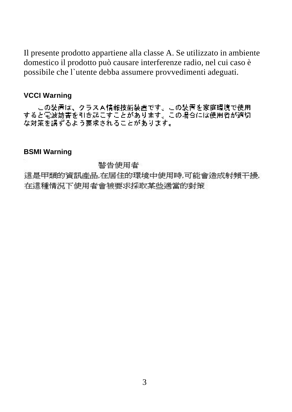Il presente prodotto appartiene alla classe A. Se utilizzato in ambiente domestico il prodotto può causare interferenze radio, nel cui caso è possibile che l`utente debba assumere provvedimenti adeguati.

#### **VCCI Warning**

この装置は、クラスA情報技術装置です。この装置を家庭環境で使用<br>すると電波妨害を引き起こすことがあります。この場合には使用者が適切 な対策を講ずるよう要求されることがあります。

#### **BSMI Warning**

#### 警告使用者

這是甲類的資訊產品,在居住的環境中使用時,可能會造成射頻干擾, 在這種情況下使用者會被要求採取某些適當的對策。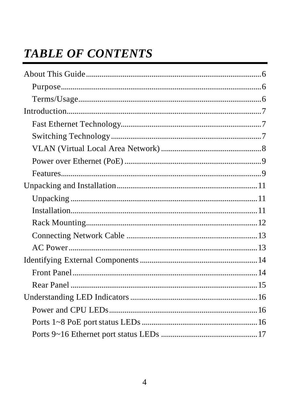# **TABLE OF CONTENTS**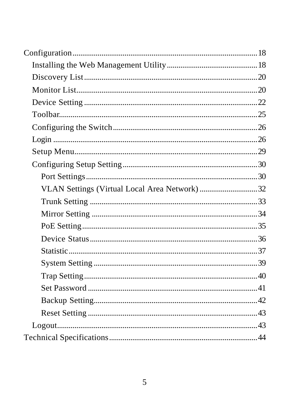| VLAN Settings (Virtual Local Area Network) 32 |  |
|-----------------------------------------------|--|
|                                               |  |
|                                               |  |
|                                               |  |
|                                               |  |
|                                               |  |
|                                               |  |
|                                               |  |
|                                               |  |
|                                               |  |
|                                               |  |
|                                               |  |
|                                               |  |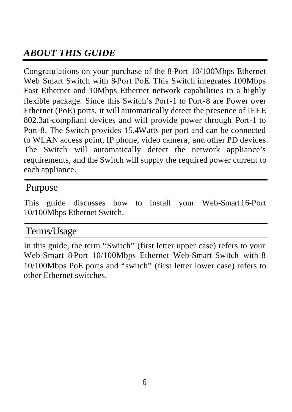# *ABOUT THIS GUIDE*

Congratulations on your purchase of the 8-Port 10/100Mbps Ethernet Web Smart Switch with 8-Port PoE. This Switch integrates 100Mbps Fast Ethernet and 10Mbps Ethernet network capabilities in a highly flexible package. Since this Switch's Port-1 to Port-8 are Power over Ethernet (PoE) ports, it will automatically detect the presence of IEEE 802.3af-compliant devices and will provide power through Port-1 to Port-8. The Switch provides 15.4Watts per port and can be connected to WLAN access point, IP phone, video camera, and other PD devices. The Switch will automatically detect the network appliance's requirements, and the Switch will supply the required power current to each appliance.

### Purpose

This guide discusses how to install your Web-Smart16-Port 10/100Mbps Ethernet Switch.

# Terms/Usage

In this guide, the term "Switch" (first letter upper case) refers to your Web-Smart 8-Port 10/100Mbps Ethernet Web-Smart Switch with 8 10/100Mbps PoE ports and "switch" (first letter lower case) refers to other Ethernet switches.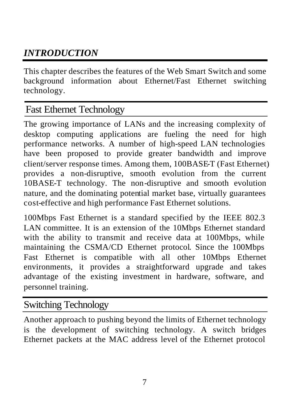# *INTRODUCTION*

This chapter describes the features of the Web Smart Switch and some background information about Ethernet/Fast Ethernet switching technology.

# Fast Ethernet Technology

The growing importance of LANs and the increasing complexity of desktop computing applications are fueling the need for high performance networks. A number of high-speed LAN technologies have been proposed to provide greater bandwidth and improve client/server response times. Among them, 100BASE-T (Fast Ethernet) provides a non-disruptive, smooth evolution from the current 10BASE-T technology. The non-disruptive and smooth evolution nature, and the dominating potential market base, virtually guarantees cost-effective and high performance Fast Ethernet solutions.

100Mbps Fast Ethernet is a standard specified by the IEEE 802.3 LAN committee. It is an extension of the 10Mbps Ethernet standard with the ability to transmit and receive data at 100Mbps, while maintaining the CSMA/CD Ethernet protocol. Since the 100Mbps Fast Ethernet is compatible with all other 10Mbps Ethernet environments, it provides a straightforward upgrade and takes advantage of the existing investment in hardware, software, and personnel training.

### Switching Technology

Another approach to pushing beyond the limits of Ethernet technology is the development of switching technology. A switch bridges Ethernet packets at the MAC address level of the Ethernet protocol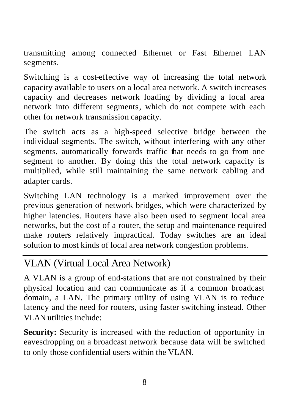transmitting among connected Ethernet or Fast Ethernet LAN segments.

Switching is a cost-effective way of increasing the total network capacity available to users on a local area network. A switch increases capacity and decreases network loading by dividing a local area network into different segments, which do not compete with each other for network transmission capacity.

The switch acts as a high-speed selective bridge between the individual segments. The switch, without interfering with any other segments, automatically forwards traffic that needs to go from one segment to another. By doing this the total network capacity is multiplied, while still maintaining the same network cabling and adapter cards.

Switching LAN technology is a marked improvement over the previous generation of network bridges, which were characterized by higher latencies. Routers have also been used to segment local area networks, but the cost of a router, the setup and maintenance required make routers relatively impractical. Today switches are an ideal solution to most kinds of local area network congestion problems.

# VLAN (Virtual Local Area Network)

A VLAN is a group of end-stations that are not constrained by their physical location and can communicate as if a common broadcast domain, a LAN. The primary utility of using VLAN is to reduce latency and the need for routers, using faster switching instead. Other VLAN utilities include:

**Security:** Security is increased with the reduction of opportunity in eavesdropping on a broadcast network because data will be switched to only those confidential users within the VLAN.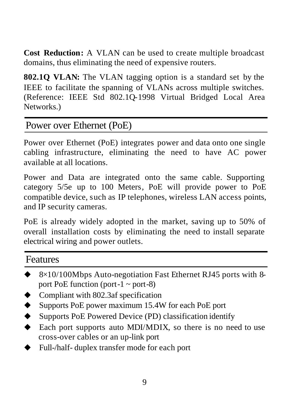**Cost Reduction:** A VLAN can be used to create multiple broadcast domains, thus eliminating the need of expensive routers.

**802.1Q VLAN:** The VLAN tagging option is a standard set by the IEEE to facilitate the spanning of VLANs across multiple switches. (Reference: IEEE Std 802.1Q-1998 Virtual Bridged Local Area Networks.)

### Power over Ethernet (PoE)

Power over Ethernet (PoE) integrates power and data onto one single cabling infrastructure, eliminating the need to have AC power available at all locations.

Power and Data are integrated onto the same cable. Supporting category 5/5e up to 100 Meters, PoE will provide power to PoE compatible device, such as IP telephones, wireless LAN access points, and IP security cameras.

PoE is already widely adopted in the market, saving up to 50% of overall installation costs by eliminating the need to install separate electrical wiring and power outlets.

### Features

- $\blacktriangleright$  8×10/100Mbps Auto-negotiation Fast Ethernet RJ45 ports with 8port PoE function (port-1  $\sim$  port-8)
- Compliant with 802.3af specification
- Supports PoE power maximum 15.4W for each PoE port
- Supports PoE Powered Device (PD) classification identify
- $\blacklozenge$  Each port supports auto MDI/MDIX, so there is no need to use cross-over cables or an up-link port
- Full-/half- duplex transfer mode for each port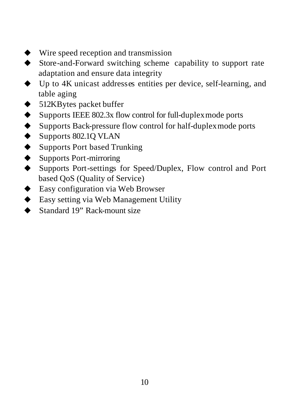- $\blacktriangleright$  Wire speed reception and transmission
- Store-and-Forward switching scheme capability to support rate adaptation and ensure data integrity
- Up to 4K unicast addresses entities per device, self-learning, and table aging
- $\triangleleft$  512KBytes packet buffer
- $\blacklozenge$  Supports IEEE 802.3x flow control for full-duplex mode ports
- ◆ Supports Back-pressure flow control for half-duplex mode ports
- $\blacklozenge$  Supports 802.1Q VLAN
- ♦ Supports Port based Trunking
- $\blacklozenge$  Supports Port-mirroring
- ◆ Supports Port-settings for Speed/Duplex, Flow control and Port based QoS (Quality of Service)
- $\triangle$  Easy configuration via Web Browser
- $\triangle$  Easy setting via Web Management Utility
- $\bullet$  Standard 19" Rack-mount size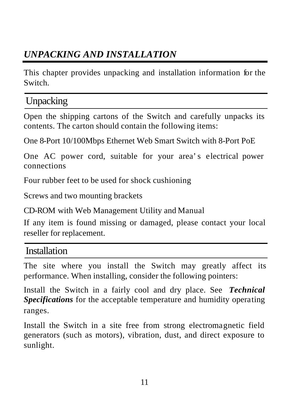# *UNPACKING AND INSTALLATION*

This chapter provides unpacking and installation information for the Switch.

# Unpacking

Open the shipping cartons of the Switch and carefully unpacks its contents. The carton should contain the following items:

One 8-Port 10/100Mbps Ethernet Web Smart Switch with 8-Port PoE

One AC power cord, suitable for your area's electrical power connections

Four rubber feet to be used for shock cushioning

Screws and two mounting brackets

CD-ROM with Web Management Utility and Manual

If any item is found missing or damaged, please contact your local reseller for replacement.

### Installation

The site where you install the Switch may greatly affect its performance. When installing, consider the following pointers:

Install the Switch in a fairly cool and dry place. See *Technical Specifications* for the acceptable temperature and humidity operating ranges.

Install the Switch in a site free from strong electromagnetic field generators (such as motors), vibration, dust, and direct exposure to sunlight.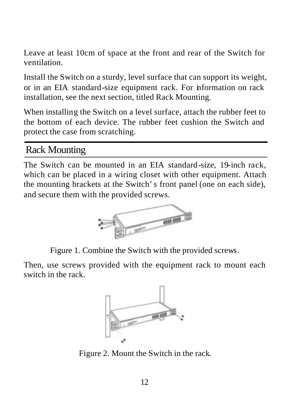Leave at least 10cm of space at the front and rear of the Switch for ventilation.

Install the Switch on a sturdy, level surface that can support its weight, or in an EIA standard-size equipment rack. For information on rack installation, see the next section, titled Rack Mounting*.*

When installing the Switch on a level surface, attach the rubber feet to the bottom of each device. The rubber feet cushion the Switch and protect the case from scratching.

# Rack Mounting

The Switch can be mounted in an EIA standard-size, 19-inch rack, which can be placed in a wiring closet with other equipment. Attach the mounting brackets at the Switch's front panel (one on each side), and secure them with the provided screws.



Figure 1. Combine the Switch with the provided screws.

Then, use screws provided with the equipment rack to mount each switch in the rack.



Figure 2. Mount the Switch in the rack.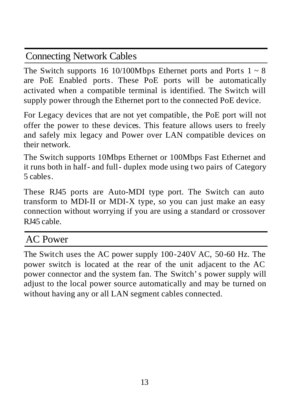# Connecting Network Cables

The Switch supports 16 10/100Mbps Ethernet ports and Ports  $1 \sim 8$ are PoE Enabled ports. These PoE ports will be automatically activated when a compatible terminal is identified. The Switch will supply power through the Ethernet port to the connected PoE device.

For Legacy devices that are not yet compatible, the PoE port will not offer the power to these devices. This feature allows users to freely and safely mix legacy and Power over LAN compatible devices on their network.

The Switch supports 10Mbps Ethernet or 100Mbps Fast Ethernet and it runs both in half- and full- duplex mode using two pairs of Category 5 cables.

These RJ45 ports are Auto-MDI type port. The Switch can auto transform to MDI-II or MDI-X type, so you can just make an easy connection without worrying if you are using a standard or crossover RI45 cable.

# AC Power

The Switch uses the AC power supply 100-240V AC, 50-60 Hz. The power switch is located at the rear of the unit adjacent to the AC power connector and the system fan. The Switch's power supply will adjust to the local power source automatically and may be turned on without having any or all LAN segment cables connected.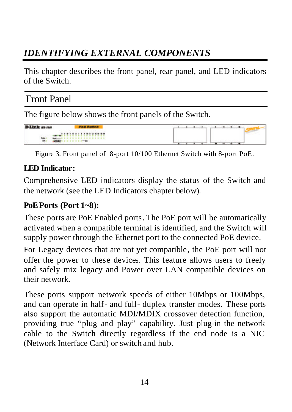# *IDENTIFYING EXTERNAL COMPONENTS*

This chapter describes the front panel, rear panel, and LED indicators of the Switch.

## Front Panel

The figure below shows the front panels of the Switch.



Figure 3. Front panel of 8-port 10/100 Ethernet Switch with 8-port PoE.

#### **LED Indicator:**

Comprehensive LED indicators display the status of the Switch and the network (see the LED Indicators chapter below).

#### **PoE Ports (Port 1~8):**

These ports are PoE Enabled ports. The PoE port will be automatically activated when a compatible terminal is identified, and the Switch will supply power through the Ethernet port to the connected PoE device.

For Legacy devices that are not yet compatible, the PoE port will not offer the power to these devices. This feature allows users to freely and safely mix legacy and Power over LAN compatible devices on their network.

These ports support network speeds of either 10Mbps or 100Mbps, and can operate in half- and full- duplex transfer modes. These ports also support the automatic MDI/MDIX crossover detection function, providing true "plug and play" capability. Just plug-in the network cable to the Switch directly regardless if the end node is a NIC (Network Interface Card) or switch and hub.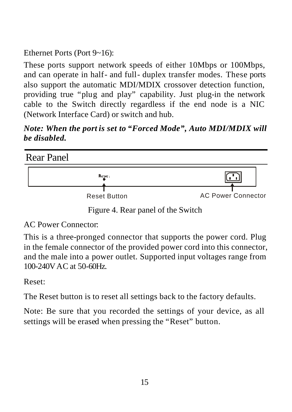Ethernet Ports (Port 9~16):

These ports support network speeds of either 10Mbps or 100Mbps, and can operate in half- and full- duplex transfer modes. These ports also support the automatic MDI/MDIX crossover detection function, providing true "plug and play" capability. Just plug-in the network cable to the Switch directly regardless if the end node is a NIC (Network Interface Card) or switch and hub.

*Note: When the port is set to "Forced Mode", Auto MDI/MDIX will be disabled.*



Figure 4. Rear panel of the Switch

AC Power Connector:

This is a three-pronged connector that supports the power cord. Plug in the female connector of the provided power cord into this connector, and the male into a power outlet. Supported input voltages range from 100-240VAC at 50-60Hz.

Reset:

The Reset button is to reset all settings back to the factory defaults.

Note: Be sure that you recorded the settings of your device, as all settings will be erased when pressing the "Reset" button.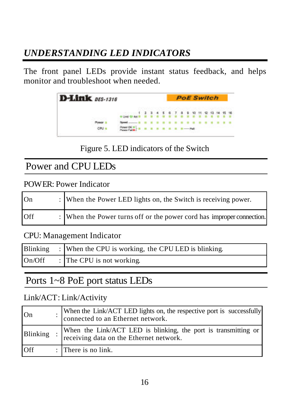# *UNDERSTANDING LED INDICATORS*

The front panel LEDs provide instant status feedback, and helps monitor and troubleshoot when needed.

| $16$ DES-1316 |  |  |  |  | <b>PoE Switch</b> |  |  |  |
|---------------|--|--|--|--|-------------------|--|--|--|
|               |  |  |  |  |                   |  |  |  |
| CPU =         |  |  |  |  |                   |  |  |  |

Figure 5. LED indicators of the Switch

# Power and CPU LEDs

POWER: Power Indicator

| On  | : When the Power LED lights on, the Switch is receiving power.        |
|-----|-----------------------------------------------------------------------|
| Off | : When the Power turns off or the power cord has improper connection. |

CPU: Management Indicator

| Blinking | : When the CPU is working, the CPU LED is blinking. |
|----------|-----------------------------------------------------|
| On/Off   | : The CPU is not working.                           |

# Ports 1~8 PoE port status LEDs

#### Link/ACT: Link/Activity

| On       | When the Link/ACT LED lights on, the respective port is successfully connected to an Ethernet network.    |
|----------|-----------------------------------------------------------------------------------------------------------|
| Blinking | When the Link/ACT LED is blinking, the port is transmitting or<br>receiving data on the Ethernet network. |
| Off      | : There is no link.                                                                                       |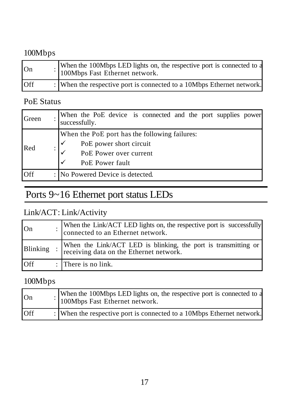# 100Mbps

| On         | When the 100Mbps LED lights on, the respective port is connected to a<br>100Mbps Fast Ethernet network. |
|------------|---------------------------------------------------------------------------------------------------------|
| <b>Off</b> | : When the respective port is connected to a 10Mbps Ethernet network.                                   |

### PoE Status

| Green | When the PoE device is connected and the port supplies power<br>successfully.                                         |
|-------|-----------------------------------------------------------------------------------------------------------------------|
| Red   | When the PoE port has the following failures:<br>PoE power short circuit<br>PoE Power over current<br>PoE Power fault |
| Off   | : No Powered Device is detected.                                                                                      |

# Ports 9~16 Ethernet port status LEDs

### Link/ACT: Link/Activity

| On       | When the Link/ACT LED lights on, the respective port is successfully connected to an Ethernet network. |
|----------|--------------------------------------------------------------------------------------------------------|
| Blinking | When the Link/ACT LED is blinking, the port is transmitting or receiving data on the Ethernet network. |
| Off      | $\therefore$ There is no link.                                                                         |

### 100Mbps

| On  | When the 100Mbps LED lights on, the respective port is connected to a<br>100Mbps Fast Ethernet network. |
|-----|---------------------------------------------------------------------------------------------------------|
| Off | : When the respective port is connected to a 10Mbps Ethernet network.                                   |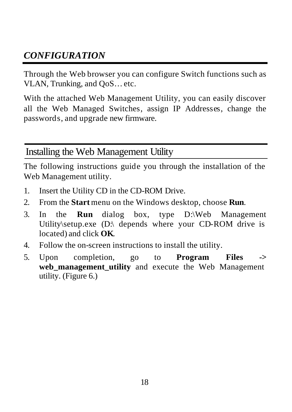# *CONFIGURATION*

Through the Web browser you can configure Switch functions such as VLAN, Trunking, and QoS… etc.

With the attached Web Management Utility, you can easily discover all the Web Managed Switches, assign IP Addresses, change the passwords, and upgrade new firmware.

### Installing the Web Management Utility

The following instructions guide you through the installation of the Web Management utility.

- 1. Insert the Utility CD in the CD-ROM Drive.
- 2. From the **Start** menu on the Windows desktop, choose **Run**.
- 3. In the **Run** dialog box, type D:\Web Management Utility\setup.exe (D:\ depends where your CD-ROM drive is located) and click **OK**.
- 4. Follow the on-screen instructions to install the utility.
- 5. Upon completion, go to **Program Files ->**  web management utility and execute the Web Management utility. (Figure 6.)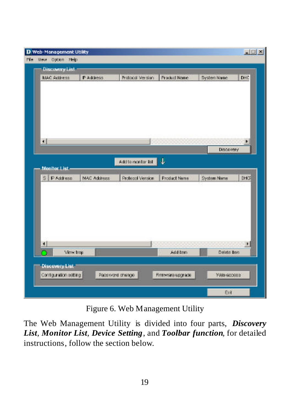| MAC Address           | P Address   | Protocol Version  | <b>Product Name</b> | System Name        | DHC  |
|-----------------------|-------------|-------------------|---------------------|--------------------|------|
|                       |             |                   |                     |                    |      |
|                       |             |                   |                     |                    |      |
|                       |             |                   |                     |                    |      |
| 31                    |             |                   |                     |                    |      |
|                       |             |                   |                     | <b>Discovery</b>   |      |
| <b>Monitor List</b>   |             | Additionante: Ed. | Φ                   |                    |      |
| S   P Address         | MAC Address | Protecol Version  | Product Name        | <b>System Name</b> | DHOF |
|                       |             |                   |                     |                    |      |
|                       |             |                   |                     |                    |      |
| ⊣<br>View trop.       |             |                   | Add bem             | Delete tem         |      |
| <b>Discovery List</b> |             |                   |                     |                    |      |

Figure 6. Web Management Utility

The Web Management Utility is divided into four parts, *Discovery List*, *Monitor List*, *Device Setting*, and *Toolbar function*, for detailed instructions, follow the section below.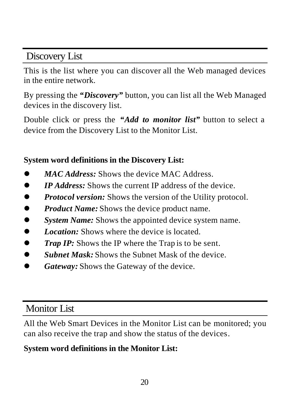Discovery List

This is the list where you can discover all the Web managed devices in the entire network.

By pressing the *"Discovery"* button, you can list all the Web Managed devices in the discovery list.

Double click or press the *"Add to monitor list"* button to select a device from the Discovery List to the Monitor List.

### **System word definitions in the Discovery List:**

- MAC Address: Shows the device MAC Address.
- *IP Address:* Shows the current IP address of the device.
- *Protocol version:* Shows the version of the Utility protocol.
- **Product Name:** Shows the device product name.
- **System Name:** Shows the appointed device system name.
- *Location:* Shows where the device is located.
- **Trap IP:** Shows the IP where the Trap is to be sent.
- **Subnet Mask:** Shows the Subnet Mask of the device.
- Gateway: Shows the Gateway of the device.

# Monitor List

All the Web Smart Devices in the Monitor List can be monitored; you can also receive the trap and show the status of the devices.

# **System word definitions in the Monitor List:**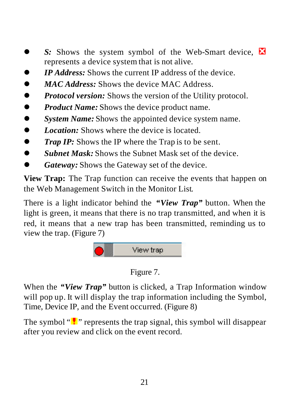- **S:** Shows the system symbol of the Web-Smart device,  $\blacksquare$ represents a device system that is not alive.
- **IP Address:** Shows the current IP address of the device.
- **•** *MAC Address:* Shows the device MAC Address.
- **•** *Protocol version:* Shows the version of the Utility protocol.
- **•** *Product Name:* Shows the device product name.
- **System Name:** Shows the appointed device system name.
- *Location:* Shows where the device is located
- **Trap IP:** Shows the IP where the Trap is to be sent.
- **Example 3 Subnet Mask:** Shows the Subnet Mask set of the device.
- Gateway: Shows the Gateway set of the device.

**View Trap:** The Trap function can receive the events that happen on the Web Management Switch in the Monitor List.

There is a light indicator behind the *"View Trap"* button. When the light is green, it means that there is no trap transmitted, and when it is red, it means that a new trap has been transmitted, reminding us to view the trap. (Figure 7)



### Figure 7.

When the *"View Trap"* button is clicked, a Trap Information window will pop up. It will display the trap information including the Symbol, Time, Device IP, and the Event occurred. (Figure 8)

The symbol " $\cdot$ " represents the trap signal, this symbol will disappear after you review and click on the event record.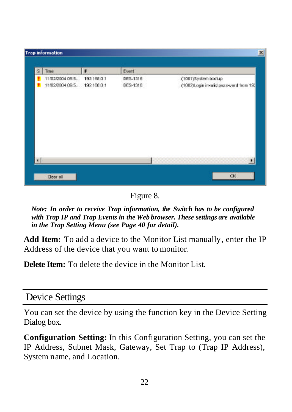|   | Trap information                                 |             |                      |                                                               |
|---|--------------------------------------------------|-------------|----------------------|---------------------------------------------------------------|
| s | Times                                            | P           | Event                |                                                               |
|   | 11/02/2004 09:5.<br>11/02/2004 09:5. 192.166.0.1 | 192.168.0.1 | DES-1316<br>DES-1318 | (1001)System bootup<br>(1002) Login invalid password from 19. |
|   |                                                  |             |                      |                                                               |
|   | Clear all                                        |             |                      | CIC                                                           |

Figure 8.

*Note: In order to receive Trap information, the Switch has to be configured with Trap IP and Trap Events in the Web browser. These settings are available in the Trap Setting Menu (see Page 40 for detail).*

**Add Item:** To add a device to the Monitor List manually, enter the IP Address of the device that you want to monitor.

**Delete Item:** To delete the device in the Monitor List.

### Device Settings

You can set the device by using the function key in the Device Setting Dialog box.

**Configuration Setting:** In this Configuration Setting, you can set the IP Address, Subnet Mask, Gateway, Set Trap to (Trap IP Address), System name, and Location.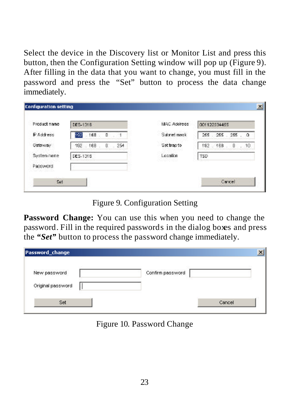Select the device in the Discovery list or Monitor List and press this button, then the Configuration Setting window will pop up (Figure 9). After filling in the data that you want to change, you must fill in the password and press the "Set" button to process the data change immediately.

| Product name | DES-1316 |         |    |     | MAC Adolrece |      | 001122134455    |              |            |
|--------------|----------|---------|----|-----|--------------|------|-----------------|--------------|------------|
| P Address    | 192      | .168    | D. |     | Subnet mask  |      | 255 . 255 . 255 |              | $^{\circ}$ |
| Gateway      |          | 192 168 | O. | 254 | Settrapto    | 192  | 168             | $\mathbf{0}$ | .10        |
| System name  | DES-1315 |         |    |     | Location     | TSD. |                 |              |            |
| Password.    |          |         |    |     |              |      |                 |              |            |

Figure 9. Configuration Setting

**Password Change:** You can use this when you need to change the password. Fill in the required passwords in the dialog boxes and press the *"Set"* button to process the password change immediately.

| <b>Password_change</b> |                  |  |
|------------------------|------------------|--|
| New password           | Confirm password |  |
| Original password      |                  |  |

Figure 10. Password Change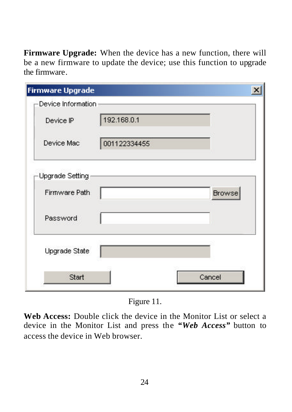**Firmware Upgrade:** When the device has a new function, there will be a new firmware to update the device; use this function to upgrade the firmware.

| <b>Firmware Upgrade</b> |              |               |
|-------------------------|--------------|---------------|
| -Device Information-    |              |               |
| Device IP               | 192.168.0.1  |               |
| Device Mac              | 001122334455 |               |
| Upgrade Setting         |              |               |
| Firmware Path           |              | <b>Browse</b> |
| Password                |              |               |
|                         |              |               |
| Upgrade State           |              |               |

Figure 11.

**Web Access:** Double click the device in the Monitor List or select a device in the Monitor List and press the *"Web Access"* button to access the device in Web browser.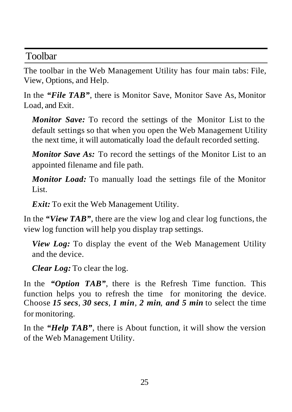### Toolbar

The toolbar in the Web Management Utility has four main tabs: File, View, Options, and Help.

In the *"File TAB"*, there is Monitor Save, Monitor Save As, Monitor Load, and Exit.

*Monitor Save:* To record the settings of the Monitor List to the default settings so that when you open the Web Management Utility the next time, it will automatically load the default recorded setting.

*Monitor Save As:* To record the settings of the Monitor List to an appointed filename and file path.

*Monitor Load:* To manually load the settings file of the Monitor List.

*Exit:* To exit the Web Management Utility.

In the *"View TAB"*, there are the view log and clear log functions, the view log function will help you display trap settings.

*View Log:* To display the event of the Web Management Utility and the device.

*Clear Log:* To clear the log.

In the *"Option TAB"*, there is the Refresh Time function. This function helps you to refresh the time for monitoring the device. Choose *15 secs*, *30 secs*, *1 min*, *2 min*, *and 5 min* to select the time for monitoring.

In the *"Help TAB"*, there is About function, it will show the version of the Web Management Utility.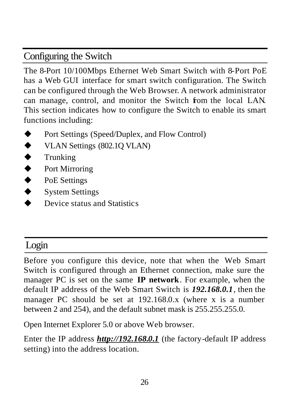# Configuring the Switch

The 8-Port 10/100Mbps Ethernet Web Smart Switch with 8-Port PoE has a Web GUI interface for smart switch configuration. The Switch can be configured through the Web Browser. A network administrator can manage, control, and monitor the Switch from the local LAN. This section indicates how to configure the Switch to enable its smart functions including:

- Port Settings (Speed/Duplex, and Flow Control)
- $\blacklozenge$  VLAN Settings (802.1Q VLAN)
- $\blacklozenge$  Trunking
- ◆ Port Mirroring
- $\blacklozenge$  PoE Settings
- $\blacklozenge$  System Settings
- Device status and Statistics

# Login

Before you configure this device, note that when the Web Smart Switch is configured through an Ethernet connection, make sure the manager PC is set on the same **IP network**. For example, when the default IP address of the Web Smart Switch is *192.168.0.1*, then the manager PC should be set at 192.168.0.x (where x is a number between 2 and 254), and the default subnet mask is 255.255.255.0.

Open Internet Explorer 5.0 or above Web browser.

Enter the IP address *http://192.168.0.1* (the factory-default IP address setting) into the address location.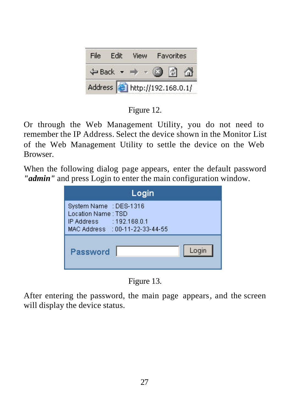| File | Fdit | View                                                    | Favorites |  |
|------|------|---------------------------------------------------------|-----------|--|
|      |      | $\leftarrow$ Back $\rightarrow$ $\rightarrow$ $\otimes$ |           |  |
|      |      | Address <b>the http://192.168.0.1/</b>                  |           |  |

Figure 12.

Or through the Web Management Utility, you do not need to remember the IP Address. Select the device shown in the Monitor List of the Web Management Utility to settle the device on the Web **Browser** 

When the following dialog page appears, enter the default password *"admin"* and press Login to enter the main configuration window.

| Login                                                                                                       |
|-------------------------------------------------------------------------------------------------------------|
| System Name : DES-1316<br>Location Name: TSD<br>IP Address : 192.168.0.1<br>MAC Address : 00-11-22-33-44-55 |
| Login<br>Password                                                                                           |

Figure 13.

After entering the password, the main page appears, and the screen will display the device status.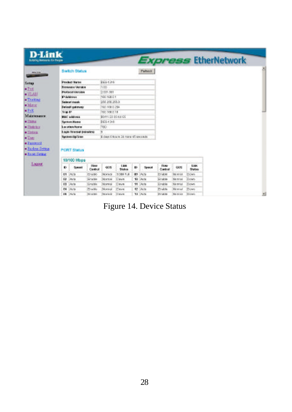| <b>D-Link</b><br><b>Building Instructs for Parger</b> |           |                                 |                         |                  |                                       |    |                 |                       |                |                       | <b>Express EtherNetwork</b> |  |
|-------------------------------------------------------|-----------|---------------------------------|-------------------------|------------------|---------------------------------------|----|-----------------|-----------------------|----------------|-----------------------|-----------------------------|--|
| <b>HAIRS</b>                                          |           | <b>Switch Status</b>            |                         |                  |                                       |    | Patunt          |                       |                |                       |                             |  |
| Setup                                                 |           | <b>Product Narse</b>            |                         | 069426           |                                       |    |                 |                       |                |                       |                             |  |
| #Fin                                                  |           | <b>Fernandez Version</b>        |                         | <b>ROD</b>       |                                       |    |                 |                       |                |                       |                             |  |
| $ \frac{1}{2}$ $\frac{1}{2}$                          |           | <b>Professor Mercales</b>       |                         | 2005.001         |                                       |    |                 |                       |                |                       |                             |  |
| · Trucking                                            |           | <b>PARKet</b>                   |                         | 108116801        |                                       |    |                 |                       |                |                       |                             |  |
|                                                       |           | Satisfact trustek               |                         | 350 356 356.0    |                                       |    |                 |                       |                |                       |                             |  |
| * Marx                                                |           | Default salation/               |                         | VST 168 (1754)   |                                       |    |                 |                       |                |                       |                             |  |
| $\bullet$ FaX                                         | Trip Et.  |                                 |                         | 1932 7 88 0.18   |                                       |    |                 |                       |                |                       |                             |  |
| Maintenance                                           |           | <b>BMC</b> address              |                         | 8011-22-23-44-66 |                                       |    |                 |                       |                |                       |                             |  |
| 4.2384                                                |           | <b>Sentenn Harris</b>           |                         | DES-1316         |                                       |    |                 |                       |                |                       |                             |  |
| $-3$ details at                                       |           | Location Nome                   |                         | <b>TSO</b>       |                                       |    |                 |                       |                |                       |                             |  |
| $\blacksquare$                                        |           | I make the sensor designations. |                         |                  |                                       |    |                 |                       |                |                       |                             |  |
| $\bullet$ Tags                                        |           | Sacremiglion                    |                         |                  | il clays 0 box to 34 minir 45 seconds |    |                 |                       |                |                       |                             |  |
| · Farmer!<br>· Barkon Setten<br>· Experiment          |           | <b>PORT Status</b>              |                         |                  |                                       |    |                 |                       |                |                       |                             |  |
|                                                       |           | 10/100 Mbps                     |                         |                  |                                       |    |                 |                       |                |                       |                             |  |
| <b>Тария</b>                                          | $\bullet$ | Soveri                          | <b>Hare</b><br>Candred  | 005              | 1,890<br><b>Stokes</b>                | K) | Special         | <b>How</b><br>Control | <b>OOS</b>     | Link<br><b>Status</b> |                             |  |
|                                                       | TT        | 5N(Te                           | Printer                 | Noinsai          | 1004 FLB                              |    | <b>MY IAVS</b>  | Proble                | <b>344 WVM</b> | <b>Parise's</b>       |                             |  |
|                                                       | $\omega$  | Auto                            | <b>Grate</b>            | Normal           | Owen                                  |    | 10 Acts         | Enable                | Member         | Down                  |                             |  |
|                                                       | $\omega$  | Arts                            | Cratle                  | Norwal           | Deve                                  |    | <b>HI Mitte</b> | Enable                | <b>Memma</b>   | Down                  |                             |  |
|                                                       | $^{74}$   | <b>My</b> for                   | <b>Pro Mo</b>           | Norwal           | Ceve                                  |    | 42 Jack         | Frable                | Ma'nessi       | Down                  |                             |  |
|                                                       |           | <b>DR</b> Mula                  | <b>Illining S&amp;d</b> | 10000108         | <b>Covs</b>                           |    | <b>TI SNOW</b>  | <b>Stripping</b>      | 344 to uld     | <b>DOM</b>            |                             |  |

Figure 14. Device Status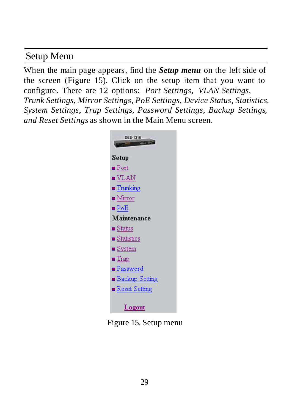# Setup Menu

When the main page appears, find the *Setup menu* on the left side of the screen (Figure 15). Click on the setup item that you want to configure. There are 12 options: *Port Settings, VLAN Settings, Trunk Settings, Mirror Settings, PoE Settings, Device Status, Statistics, System Settings, Trap Settings, Password Settings, Backup Settings, and Reset Settings* as shown in the Main Menu screen.



Figure 15. Setup menu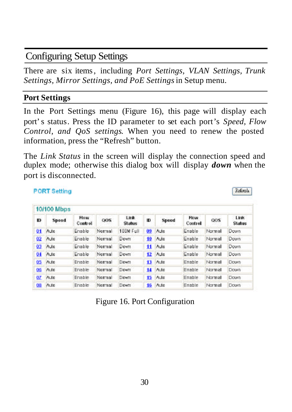## Configuring Setup Settings

There are six items, including *Port Settings, VLAN Settings, Trunk Settings, Mirror Settings, and PoE Settings*in Setup menu.

#### **Port Settings**

**PORT Setting** 

In the Port Settings menu (Figure 16), this page will display each port's status. Press the ID parameter to set each port's *Speed, Flow Control, and QoS settings*. When you need to renew the posted information, press the "Refresh" button.

The *Link Status* in the screen will display the connection speed and duplex mode; otherwise this dialog box will display *down* when the port is disconnected.

Refresh

|     | 10/100 Mbps |                        |        |                        |     |         |                 |        |                       |
|-----|-------------|------------------------|--------|------------------------|-----|---------|-----------------|--------|-----------------------|
| Ð   | Speed       | <b>Flow</b><br>Control | 005    | Link.<br><b>Status</b> | ю   | Speed   | Flow<br>Control | 005    | Link<br><b>Status</b> |
| 01  | Auto        | Enable                 | Normal | 100M Full              | 99. | Mutto:  | Enable          | Normal | Down                  |
| 02  | Auto        | Enable                 | Normal | Down                   | 10  | Auto    | Enable          | Normal | Down.                 |
| 03  | Auto        | Enable                 | Normal | Down                   |     | 11 A.M  | Enable          | Normal | Down                  |
| 04  | Auto        | Enable                 | Normal | Down                   |     | 12 Auto | Enable          | Normal | Down                  |
| 05  | Auto        | Enable                 | Normal | Down                   |     | 13 Auto | Enable          | Normal | Down-                 |
| 05  | Auto        | Enable                 | Normal | Down                   |     | 14 Auto | Enable          | Normal | Down                  |
| OZ. | Auto        | Enable                 | Normal | Down                   |     | 15 Auto | Enable          | Normal | <b>Down</b>           |
| 08  | Auto        | Enable                 | Normal | Down                   |     | 16 Auto | Enable          | Normal | Down                  |

Figure 16. Port Configuration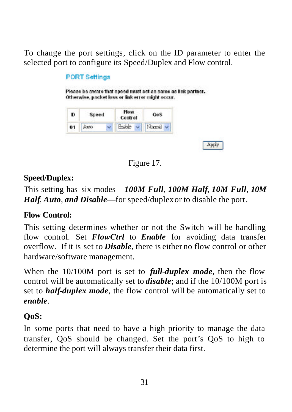To change the port settings, click on the ID parameter to enter the selected port to configure its Speed/Duplex and Flow control.

#### **PORT Settings** Please be aware that speed must set as same as link partner. Otherwise, packet loss or link error might occur. **How** ID Speed OeS Control  $0<sub>1</sub>$ Auto Enable v Nomal Apply



### **Speed/Duplex:**

This setting has six modes— *100M Full*, *100M Half*, *10M Full*, *10M Half*, *Auto*, *and Disable*— for speed/duplex or to disable the port.

### **Flow Control:**

This setting determines whether or not the Switch will be handling flow control. Set *FlowCtrl* to *Enable* for avoiding data transfer overflow. If it is set to *Disable*, there is either no flow control or other hardware/software management.

When the 10/100M port is set to *full-duplex mode*, then the flow control will be automatically set to *disable*; and if the 10/100M port is set to *half-duplex mode*, the flow control will be automatically set to *enable*.

### **QoS:**

In some ports that need to have a high priority to manage the data transfer, QoS should be changed. Set the port's QoS to high to determine the port will always transfer their data first.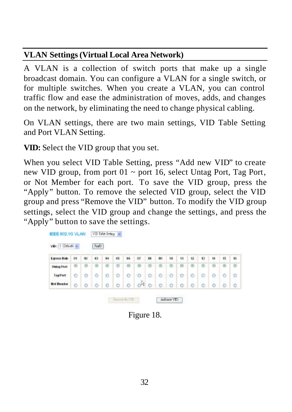#### **VLAN Settings (Virtual Local Area Network)**

A VLAN is a collection of switch ports that make up a single broadcast domain. You can configure a VLAN for a single switch, or for multiple switches. When you create a VLAN, you can control traffic flow and ease the administration of moves, adds, and changes on the network, by eliminating the need to change physical cabling.

On VLAN settings, there are two main settings, VID Table Setting and Port VLAN Setting.

**VID:** Select the VID group that you set.

When you select VID Table Setting, press "Add new VID" to create new VID group, from port  $01 \sim$  port 16, select Untag Port, Tag Port, or Not Member for each port. To save the VID group, press the "Apply" button. To remove the selected VID group, select the VID group and press "Remove the VID" button. To modify the VID group settings, select the VID group and change the settings, and press the "Apply" button to save the settings.

| <b>Egress Rule</b> | O1 | œ | 63 | 84      | 86      | 86                   | 00         | m | œ       | 18              | 11 | 设              | 13 | 84 | 15 | ú, |
|--------------------|----|---|----|---------|---------|----------------------|------------|---|---------|-----------------|----|----------------|----|----|----|----|
| <b>Datas Pert</b>  | ø  | Θ | ۰  | Θ       | ø       | B                    | Đ          | œ | 田       |                 | ø  |                | G  | Θ  | e  | ®  |
| TagPutt            | ۰  | o | ۰  | ۰       | $\circ$ | ٥                    | o          | ۰ | o       | ۰               | e  | ۰              | ۰  | ۰  | ۰  | o  |
| <b>Hot Marcher</b> | ۰  | o | O  | $\circ$ | Ŀo      | $\overline{\bullet}$ | $-10^{10}$ |   | $\circ$ | $\mathbb{R}$ on | 7Ò | $\ddot{\circ}$ | ó  | o  | ö  | Lο |

Figure 18.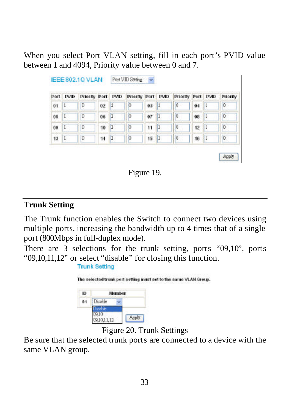When you select Port VLAN setting, fill in each port's PVID value between 1 and 4094, Priority value between 0 and 7.

|    | Port PVID | Priority Port PVD |    |   | Prierity Port PVID |    |     | Priority Port PVID |    |   | Priority    |
|----|-----------|-------------------|----|---|--------------------|----|-----|--------------------|----|---|-------------|
| 01 | ı         | 0                 | 02 |   | b                  | 03 |     | 0                  | 04 |   | 0           |
| 05 | I         | 0                 | 06 | n | o                  | 87 | п   | 0                  | 08 | ı | 0           |
| 09 | L.        | 0                 | 10 | 1 | ю                  | 11 | L   | 0                  | 12 | ı | O           |
| 13 | L.        | 0                 | 14 | ı | p                  | 15 | ч1. | 0                  | 16 | ı | $ 0\rangle$ |



#### **Trunk Setting**

The Trunk function enables the Switch to connect two devices using multiple ports, increasing the bandwidth up to 4 times that of a single port (800Mbps in full-duplex mode).

There are 3 selections for the trunk setting, ports "09,10", ports "09,10,11,12" or select "disable" for closing this function.

|    |         |               | The selected trunk port setting must set to the same VLAN Group. |
|----|---------|---------------|------------------------------------------------------------------|
| ю  |         | <b>Member</b> |                                                                  |
| 81 | Disable |               |                                                                  |
|    |         |               |                                                                  |
|    |         |               |                                                                  |



Be sure that the selected trunk ports are connected to a device with the same VLAN group.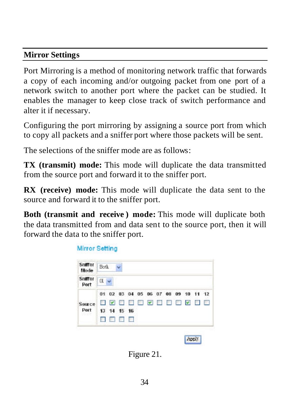#### **Mirror Settings**

Port Mirroring is a method of monitoring network traffic that forwards a copy of each incoming and/or outgoing packet from one port of a network switch to another port where the packet can be studied. It enables the manager to keep close track of switch performance and alter it if necessary.

Configuring the port mirroring by assigning a source port from which to copy all packets and a sniffer port where those packets will be sent.

The selections of the sniffer mode are as follows:

**TX (transmit) mode:** This mode will duplicate the data transmitted from the source port and forward it to the sniffer port.

**RX (receive) mode:** This mode will duplicate the data sent to the source and forward it to the sniffer port.

**Both (transmit and receive ) mode:** This mode will duplicate both the data transmitted from and data sent to the source port, then it will forward the data to the sniffer port.

**Mirror Setting** 

| Sniffer<br>Mode | Both           |                                     |  |  |  |  |   |
|-----------------|----------------|-------------------------------------|--|--|--|--|---|
| Sniffer<br>Port | $0 - \sqrt{2}$ |                                     |  |  |  |  |   |
|                 |                | 01 02 03 04 05 06 07 08 09 10 11 12 |  |  |  |  |   |
| Source          |                |                                     |  |  |  |  | 画 |
| Port            |                | 13 14 15 16                         |  |  |  |  |   |
|                 |                | ■ ● ■ ■ ■ ■                         |  |  |  |  |   |

Figure 21.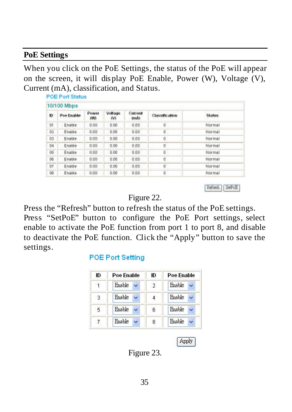#### **PoE Settings**

When you click on the PoE Settings, the status of the PoE will appear on the screen, it will display PoE Enable, Power (W), Voltage (V), Current (mA), classification, and Status.

| 10/100 Mbps |            |              |               |                 |                |               |
|-------------|------------|--------------|---------------|-----------------|----------------|---------------|
| ю           | Pae Enable | Power<br>(W) | Voltage<br>W. | Current<br>4Amb | Classification | <b>Status</b> |
| Df.         | Enable     | 0.00         | 0.00          | 0.00            | o              | Normal        |
| D2          | Enable     | 0.00         | 0.00          | 0.00            | ű              | Normal        |
| 83          | Enable     | 0.00         | <b>D.DO</b>   | 0.0D            | ū              | Normal        |
| D4          | Enable     | 0.00         | 0.00          | 0.00            | O              | Normal        |
| 05          | Enable     | 0.00         | 0.00          | 0.00            | $0^{\circ}$    | Normal        |
| 06          | Enable     | 0.00         | <b>D.DO</b>   | 0.0D            | Ū              | Normal        |
| D7          | Enable     | 0.00         | 0.00          | 0.00            | O              | Normal        |
| DG.         | Enable     | 0.00         | 0.00          | 0.00            | $0^{\circ}$    | Normal        |

Refeeth SetPoE

Figure 22.

Press the "Refresh" button to refresh the status of the PoE settings. Press "SetPoE" button to configure the PoE Port settings, select enable to activate the PoE function from port 1 to port 8, and disable to deactivate the PoE function. Click the "Apply" button to save the settings.

#### **POE Port Setting**

| ID | Poe Enable | ID | Poe Fnable    |
|----|------------|----|---------------|
| 1  | Enable     | 2  | Enable        |
| 3  | Enable     | 4  | Enable        |
| 5  | Enable     | 6  | <b>Enable</b> |
|    | Enable     | 8  | Enable        |

Apply

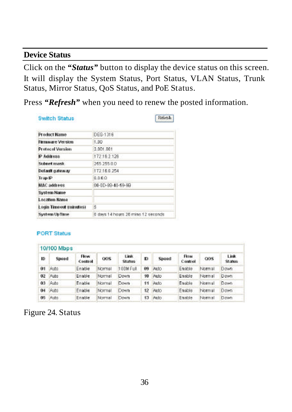#### **Device Status**

Click on the *"Status"* button to display the device status on this screen. It will display the System Status, Port Status, VLAN Status, Trunk Status, Mirror Status, QoS Status, and PoE Status.

Press *"Refresh"* when you need to renew the posted information.

#### **Switch Status**

Referib.

| <b>Product Name</b>     | DEG-1316                           |
|-------------------------|------------------------------------|
| <b>Firmware Version</b> | 1.00                               |
| <b>Protocol Version</b> | 1,001,001                          |
| IP Address              | 172162126                          |
| Subnet mask             | 265 255 0.0                        |
| Default gateway         | 172.16.0.254                       |
| Trap IP                 | 0.000                              |
| MAC address             | 00-00-89-40-69-99                  |
| System Name             |                                    |
| <b>Location Name</b>    |                                    |
| Login Timesut (minutes) | 5                                  |
| <b>System Up Time</b>   | 0 days 14 hours 26 mins 12 seconds |

#### **PORT Status**

|    | 10/100 Mbps |                        |        |                 |     |       |                        |                  |                       |
|----|-------------|------------------------|--------|-----------------|-----|-------|------------------------|------------------|-----------------------|
| ID | Spood       | <b>Flow</b><br>Control | OOS    | Link.<br>Status | Ю   | Spood | <b>Flow</b><br>Control | O <sub>O</sub> S | Link<br><b>Status</b> |
| 01 | Auto.       | Enable                 | Normal | 100M Full       | Û9. | Auto. | Enable                 | Normal           | Down                  |
| 02 | Auto        | Enable                 | Normal | Down            | 10  | Wuto: | Enable                 | Normal           | <b>Down</b>           |
| 03 | Auto        | Enable                 | Normal | Down            | 11  | Auto  | Enable                 | Normal           | Down                  |
| 04 | <b>Auto</b> | Enable                 | Normal | Down            | 12  | Auto  | Enable                 | Normal           | Down                  |
| 05 | Auto:       | Enable                 | Normal | <b>DOWN</b>     | 43  | Auto. | Enable                 | Normal           | Down                  |
|    |             |                        |        |                 |     |       |                        |                  |                       |

### Figure 24. Status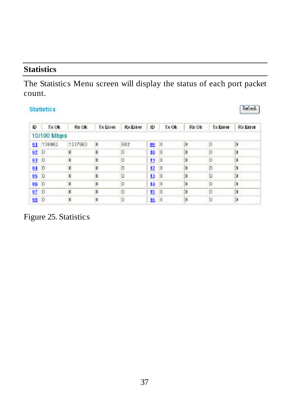#### **Statistics**

The Statistics Menu screen will display the status of each port packet count.

#### **Statistics**

| Ю    | <b>Tx Ok</b>   | Rx Ok   | <b>Tx Errer</b> | <b>Rx Errer</b> | ю  | Tx Ok   | Rx Ok | <b>Tx Error</b> | <b>Rx Error</b> |
|------|----------------|---------|-----------------|-----------------|----|---------|-------|-----------------|-----------------|
|      | 10/100 Mbps    |         |                 |                 |    |         |       |                 |                 |
|      | 01 138082      | 1237983 | 'n              | 982             | 09 | $\pm 0$ | lū    |                 | ١ū              |
| 02   | $\overline{0}$ |         | Ū               |                 | 10 | 10.     | D     |                 | In              |
| 03   | $\overline{0}$ |         | n               | п               | 11 | l a     | ID.   | n               | ١D              |
| 04   | ю              | f.      |                 |                 | 12 | 10      | D     |                 | 'n              |
| 050  |                |         |                 |                 | 13 | O       | D     |                 |                 |
| 06 0 |                | n       | о               |                 | 14 | l a     | D     |                 | In              |
| 07   | Ю              |         | п               |                 | 15 | 0       | n     |                 |                 |
| 080  |                |         |                 |                 | 16 | 10      | n     |                 | ١ū              |

Figure 25. Statistics

Refresh |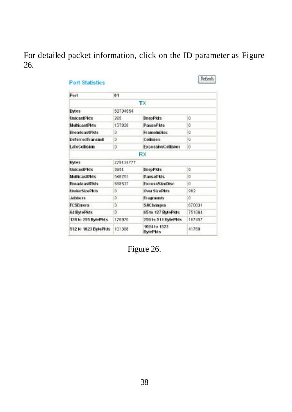For detailed packet information, click on the ID parameter as Figure 26.

| Port                    | 41           |                                 |                |
|-------------------------|--------------|---------------------------------|----------------|
|                         |              | <b>TX</b>                       |                |
| <b>Bytes</b>            | 59734564     |                                 |                |
| <b>UnicastPids</b>      | 786          | <b>DrepPkts</b>                 | ū              |
| MulticastPlots          | 137828       | <b>PausePlas</b>                | O              |
| <b>BroadcastPids</b>    | b            | FramelnDisc                     | ű              |
| <b>DeferredTransmit</b> | D.           | Collision                       | ŭ              |
| LateCollisien           | $\ddot{0}$   | <b>ExcessiveCollision</b>       | Ŭ              |
|                         |              | RX                              |                |
| <b>Bytes</b>            | 278434777    |                                 |                |
| <b>UnicastPids</b>      | 2054         | <b>DrepPkts</b>                 | O              |
| <b>MulticastPids</b>    | 546251       | <b>DanisoDkts</b>               | O              |
| <b>BroadcastDids</b>    | 688537       | <b>ExcessStrefilsc</b>          | $\overline{0}$ |
| UnderSizePkts           | D.           | <b>Over SizePlets</b>           | 982            |
| Jabbers                 | D            | <b>Fragments</b>                | ű              |
| <b>FCSErrors</b>        | D            | <b>SAChanges</b>                | 670031         |
| 64 BytePlots            | $\mathbf{0}$ | 651e 127 BMePkts                | 751084         |
| 128 to 255 BytePkts     | 176970       | 256 to 511 BytePkis             | 187457         |
| 512 to 1023 BytePids    | 101398       | 1024 to 1522<br><b>BytePkts</b> | 41760          |

Figure 26.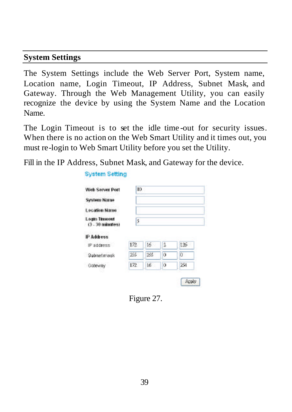#### **System Settings**

The System Settings include the Web Server Port, System name, Location name, Login Timeout, IP Address, Subnet Mask, and Gateway. Through the Web Management Utility, you can easily recognize the device by using the System Name and the Location Name.

The Login Timeout is to set the idle time -out for security issues. When there is no action on the Web Smart Utility and it times out, you must re-login to Web Smart Utility before you set the Utility.

Fill in the IP Address, Subnet Mask, and Gateway for the device.

| Web Server Port                     | 30  |     |   |     |
|-------------------------------------|-----|-----|---|-----|
| <b>System Name</b>                  |     |     |   |     |
| Lecation Name                       |     |     |   |     |
| Login Timoott<br>$(3 - 30$ minutes) | 5   |     |   |     |
|                                     |     |     |   |     |
| P Address                           |     |     |   |     |
|                                     | 172 | 16  | 2 | 126 |
| IP address<br>Subnet mack           | 155 | 166 | o | o   |

#### **System Setting**

Figure 27.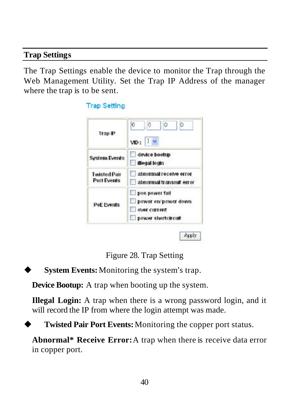#### **Trap Settings**

The Trap Settings enable the device to monitor the Trap through the Web Management Utility. Set the Trap IP Address of the manager where the trap is to be sent.

|                                    | $\overline{0}$<br>0<br>Ó<br>b                                               |
|------------------------------------|-----------------------------------------------------------------------------|
| Trap IP                            | 1 <sub>w</sub><br>VID:                                                      |
| <b>System Events</b>               | device bootup<br>illegal login                                              |
| <b>Twisted Pair</b><br>Port Events | abnormal receive error<br>abnormal transmit error                           |
| <b>PoE Events</b>                  | poe power fall<br>power on power down<br>over current<br>power shortcircuit |

Figure 28. Trap Setting

**System Events:** Monitoring the system's trap.

There is a second

**Device Bootup:** A trap when booting up the system.

**Illegal Login:** A trap when there is a wrong password login, and it will record the IP from where the login attempt was made.

**Twisted Pair Port Events:** Monitoring the copper port status.

**Abnormal\* Receive Error:**A trap when there is receive data error in copper port.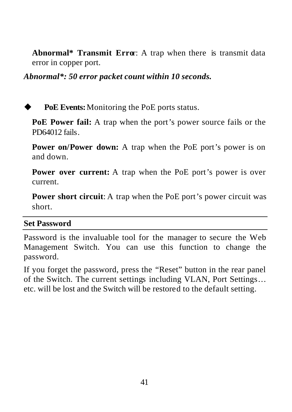**Abnormal\* Transmit Erro**r: A trap when there is transmit data error in copper port.

*Abnormal\*: 50 error packet count within 10 seconds.*

PoE Events: Monitoring the PoE ports status.

**PoE Power fail:** A trap when the port's power source fails or the PD64012 fails

**Power on/Power down:** A trap when the PoE port's power is on and down.

**Power over current:** A trap when the PoE port's power is over current.

**Power short circuit:** A trap when the PoE port's power circuit was short.

#### **Set Password**

Password is the invaluable tool for the manager to secure the Web Management Switch. You can use this function to change the password.

If you forget the password, press the "Reset" button in the rear panel of the Switch. The current settings including VLAN, Port Settings… etc. will be lost and the Switch will be restored to the default setting.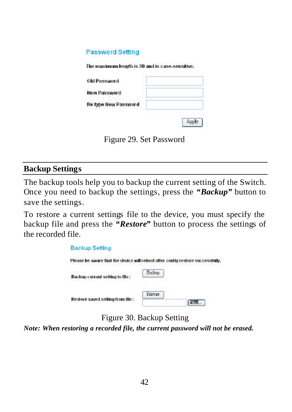#### **Password Setting**

The maximum length is 20 and is case, sensitive.

| Old Password         |  |
|----------------------|--|
| New Password         |  |
| Re type New Password |  |
|                      |  |

Figure 29. Set Password

#### **Backup Settings**

The backup tools help you to backup the current setting of the Switch. Once you need to backup the settings, press the *"Backup"* button to save the settings.

To restore a current settings file to the device, you must specify the backup file and press the *"Restore"* button to process the settings of the recorded file.



Figure 30. Backup Setting

*Note: When restoring a recorded file, the current password will not be erased.*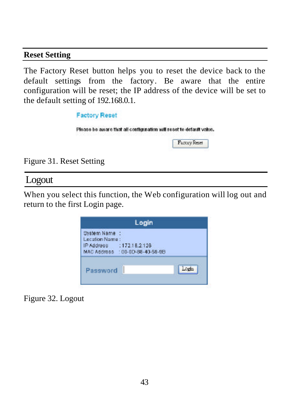#### **Reset Setting**

The Factory Reset button helps you to reset the device back to the default settings from the factory. Be aware that the entire configuration will be reset; the IP address of the device will be set to the default setting of 192.168.0.1.

| <b>Factory Reset</b>                   |                                                                     |
|----------------------------------------|---------------------------------------------------------------------|
| the state of the second control of the | Please be aware that all configuration will reset to default value. |
|                                        | <b>Factory Reset</b>                                                |
| Figure 31. Reset Setting               |                                                                     |

Logout

When you select this function, the Web configuration will log out and return to the first Login page.

|                                                            | Login                              |  |
|------------------------------------------------------------|------------------------------------|--|
| System Name<br>Location Name:<br>IP Address<br>MAC Address | :172.18.2126<br>:00-00-88-40-59-98 |  |
| Password                                                   |                                    |  |

Figure 32. Logout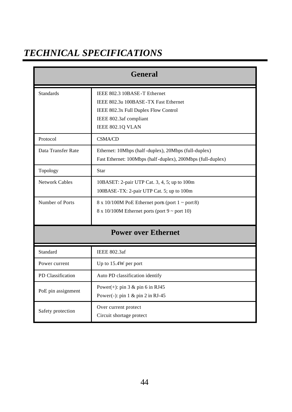# *TECHNICAL SPECIFICATIONS*

|                    | General                                                                                                                                                    |
|--------------------|------------------------------------------------------------------------------------------------------------------------------------------------------------|
| <b>Standards</b>   | IEEE 802.3 10BASE-T Ethernet<br>IEEE 802.3u 100BASE-TX Fast Ethernet<br>IEEE 802.3x Full Duplex Flow Control<br>IEEE 802.3af compliant<br>IEEE 802.1Q VLAN |
| Protocol           | <b>CSMA/CD</b>                                                                                                                                             |
| Data Transfer Rate | Ethernet: 10Mbps (half-duplex), 20Mbps (full-duplex)<br>Fast Ethernet: 100Mbps (half-duplex), 200Mbps (full-duplex)                                        |
| Topology           | Star                                                                                                                                                       |
| Network Cables     | 10BASET: 2-pair UTP Cat. 3, 4, 5; up to 100m<br>100BASE-TX: 2-pair UTP Cat. 5; up to 100m                                                                  |
| Number of Ports    | $8 \times 10/100M$ PoE Ethernet ports (port $1 \sim$ port 8)<br>$8 \times 10/100M$ Ethernet ports (port $9 \sim$ port 10)                                  |
|                    | <b>Power over Ethernet</b>                                                                                                                                 |
| Standard           | <b>IEEE 802.3af</b>                                                                                                                                        |
| Power current      | Up to 15.4W per port                                                                                                                                       |
| PD Classification  | Auto PD classification identify                                                                                                                            |
| PoE pin assignment | Power $(+)$ : pin 3 & pin 6 in RJ45<br>Power(-): pin $1 \&$ pin $2$ in RJ-45                                                                               |
| Safety protection  | Over current protect<br>Circuit shortage protect                                                                                                           |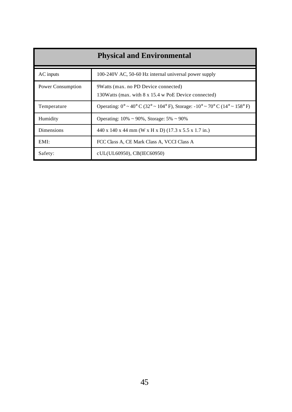|                   | <b>Physical and Environmental</b>                                                             |
|-------------------|-----------------------------------------------------------------------------------------------|
| AC inputs         | 100-240V AC, 50-60 Hz internal universal power supply                                         |
| Power Consumption | 9Watts (max. no PD Device connected)<br>130Watts (max. with 8 x 15.4 w PoE Device connected)  |
| Temperature       | Operating: $0^{\circ} \sim 40^{\circ}$ C (32° ~ 104° F), Storage: -10° ~ 70° C (14° ~ 158° F) |
| Humidity          | Operating: $10\% \sim 90\%$ , Storage: $5\% \sim 90\%$                                        |
| <b>Dimensions</b> | 440 x 140 x 44 mm (W x H x D) (17.3 x 5.5 x 1.7 in.)                                          |
| EMI:              | FCC Class A, CE Mark Class A, VCCI Class A                                                    |
| Safety:           | cUL(UL60950), CB(IEC60950)                                                                    |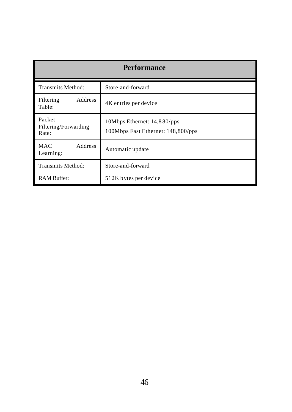| <b>Performance</b>                      |                                                                   |
|-----------------------------------------|-------------------------------------------------------------------|
| Transmits Method:                       | Store-and-forward                                                 |
| <b>Address</b><br>Filtering<br>Table:   | 4K entries per device                                             |
| Packet<br>Filtering/Forwarding<br>Rate: | 10Mbps Ethernet: 14,880/pps<br>100Mbps Fast Ethernet: 148,800/pps |
| <b>MAC</b><br>Address<br>Learning:      | Automatic update                                                  |
| Transmits Method:                       | Store-and-forward                                                 |
| <b>RAM Buffer:</b>                      | 512K bytes per device                                             |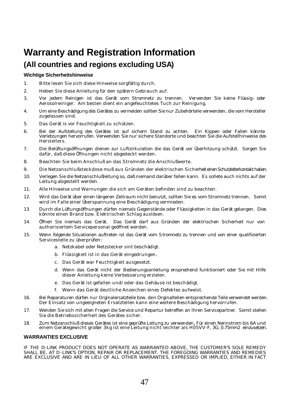# **Warranty and Registration Information (All countries and regions excluding USA)**

#### **Wichtige Sicherheitshinweise**

- 1. Bitte lesen Sie sich diese Hinweise sorgfältig durch.
- 2. Heben Sie diese Anleitung für den spätern Gebrauch auf.
- 3. Vor jedem Reinigen ist das Gerät vom Stromnetz zu trennen. Vervenden Sie keine Flüssig- oder Aerosolreiniger. Am besten dient ein angefeuchtetes Tuch zur Reinigung.
- 4. Um eine Beschädigung des Gerätes zu vermeiden sollten Sie nur Zubehörteile verwenden, die vom Hersteller zugelassen sind.
- 5. Das Gerät is vor Feuchtigkeit zu schützen.
- 6. Bei der Aufstellung des Gerätes ist auf sichern Stand zu achten. Ein Kippen oder Fallen könnte Verletzungen hervorrufen. Verwenden Sie nur sichere Standorte und beachten Sie die Aufstellhinweise des Herstellers.
- 7. Die Belüftungsöffnungen dienen zur Luftzirkulation die das Gerät vor Überhitzung schützt. Sorgen Sie dafür, daß diese Öffnungen nicht abgedeckt werden.
- 8. Beachten Sie beim Anschluß an das Stromnetz die Anschlußwerte.
- 9. Die Netzanschlußsteckdose muß aus Gründen der elektrischen Sicherheit einen Schutzleiterkontakt haben.
- 10. Verlegen Sie die Netzanschlußleitung so, daß niemand darüber fallen kann. Es sollete auch nichts auf der Leitung abgestellt werden.
- 11. Alle Hinweise und Warnungen die sich am Geräten befinden sind zu beachten.
- 12. Wird das Gerät über einen längeren Zeitraum nicht benutzt, sollten Sie es vom Stromnetz trennen. Somit wird im Falle einer Überspannung eine Beschädigung vermieden.
- 13. Durch die Lüftungsöffnungen dürfen niemals Gegenstände oder Flüssigkeiten in das Gerät gelangen. Dies könnte einen Brand bzw. Elektrischen Schlag auslösen.
- 14. Öffnen Sie niemals das Gerät. Das Gerät darf aus Gründen der elektrischen Sicherheit nur von authorisiertem Servicepersonal geöffnet werden.
- 15. Wenn folgende Situationen auftreten ist das Gerät vom Stromnetz zu trennen und von einer qualifizierten Servicestelle zu überprüfen:
	- a. Netzkabel oder Netzstecker sint beschädigt.
	- b. Flüssigkeit ist in das Gerät eingedrungen.
	- c. Das Gerät war Feuchtigkeit ausgesetzt.
	- d. Wenn das Gerät nicht der Bedienungsanleitung ensprechend funktioniert oder Sie mit Hilfe dieser Anleitung keine Verbesserung erzielen.
	- e. Das Gerät ist gefallen und/oder das Gehäuse ist beschädigt.
	- f. Wenn das Gerät deutliche Anzeichen eines Defektes aufweist.
- 16. Bei Reparaturen dürfen nur Orginalersatzteile bzw. den Orginalteilen entsprechende Teile verwendet werden. Der Einsatz von ungeeigneten Ersatzteilen kann eine weitere Beschädigung hervorrufen.
- 17. Wenden Sie sich mit allen Fragen die Service und Repartur betreffen an Ihren Servicepartner. Somit stellen Sie die Betriebssicherheit des Gerätes sicher.
- 18. Zum Netzanschluß dieses Gerätes ist eine geprüfte Leitung zu verwenden, Für einen Nennstrom bis 6A und einem Gerätegewicht großer 3kg ist eine Leitung nicht leichter als H05VV-F, 3G, 0.75mm2 einzusetzen.

#### **WARRANTIES EXCLUSIVE**

IF THE D-LINK PRODUCT DOES NOT OPERATE AS WARRANTED ABOVE, THE CUSTOMER'S SOLE REMEDY SHALL BE, AT D-LINK'S OPTION, REPAIR OR REPLACEMENT. THE FOREGOING WARRANTIES AND REMEDIES ARE EXCLUSIVE AND ARE IN LIEU OF ALL OTHER WARRANTIES, EXPRESSED OR IMPLIED, EITHER IN FACT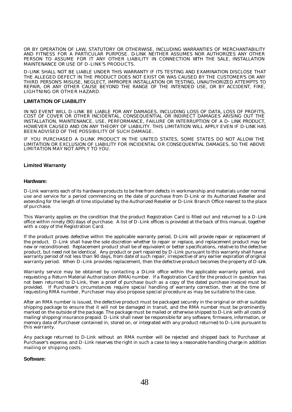OR BY OPERATION OF LAW, STATUTORY OR OTHERWISE, INCLUDING WARRANTIES OF MERCHANTABILITY AND FITNESS FOR A PARTICULAR PURPOSE. D-LINK NEITHER ASSUMES NOR AUTHORIZES ANY OTHER PERSON TO ASSUME FOR IT ANY OTHER LIABILITY IN CONNECTION WITH THE SALE, INSTALLATION MAINTENANCE OR USE OF D-LINK'S PRODUCTS.

D-LINK SHALL NOT BE LIABLE UNDER THIS WARRANTY IF ITS TESTING AND EXAMINATION DISCLOSE THAT THE ALLEGED DEFECT IN THE PRODUCT DOES NOT EXIST OR WAS CAUSED BY THE CUSTOMER'S OR ANY THIRD PERSON'S MISUSE, NEGLECT, IMPROPER INSTALLATION OR TESTING, UNAUTHORIZED ATTEMPTS TO REPAIR, OR ANY OTHER CAUSE BEYOND THE RANGE OF THE INTENDED USE, OR BY ACCIDENT, FIRE, LIGHTNING OR OTHER HAZARD.

#### **LIMITATION OF LIABILITY**

IN NO EVENT WILL D-LINK BE LIABLE FOR ANY DAMAGES, INCLUDING LOSS OF DATA, LOSS OF PROFITS, COST OF COVER OR OTHER INCIDENTAL, CONSEQUENTIAL OR INDIRECT DAMAGES ARISING OUT THE INSTALLATION, MAINTENANCE, USE, PERFORMANCE, FAILURE OR INTERRUPTION OF A D- LINK PRODUCT, HOWEVER CAUSED AND ON ANY THEORY OF LIABILITY. THIS LIMITATION WILL APPLY EVEN IF D-LINK HAS BEEN ADVISED OF THE POSSIBILITY OF SUCH DAMAGE.

IF YOU PURCHASED A DLINK PRODUCT IN THE UNITED STATES, SOME STATES DO NOT ALLOW THE LIMITATION OR EXCLUSION OF LIABILITY FOR INCIDENTAL OR CONSEQUENTIAL DAMAGES, SO THE ABOVE LIMITATION MAY NOT APPLY TO YOU.

#### **Limited Warranty**

#### **Hardware:**

D-Link warrants each of its hardware products to be free from defects in workmanship and materials under normal use and service for a period commencing on the date of purchase from D-Link or its Authorized Reseller and extending for the length of time stipulated by the Authorized Reseller or D-Link Branch Office nearest to the place of purchase.

This Warranty applies on the condition that the product Registration Card is filled out and returned to a D-Link office within ninety (90) days of purchase. A list of D -Link offices is provided at the back of this manual, together with a copy of the Registration Card.

If the product proves defective within the applicable warranty period, D-Link will provide repair or replacement of the product. D-Link shall have the sole discretion whether to repair or replace, and replacement product may be new or reconditioned. Replacement product shall be of equivalent or better specifications, relative to the defective product, but need not be identical. Any product or part repaired by D-Link pursuant to this warranty shall have a warranty period of not less than 90 days, from date of such repair, irrespective of any earlier expiration of original warranty period. When D-Link provides replacement, then the defective product becomes the property of D-Link.

Warranty service may be obtained by contacting a D-Link office within the applicable warranty period, and requesting a Return Material Authorization (RMA) number. If a Registration Card for the product in question has not been returned to D-Link, then a proof of purchase (such as a copy of the dated purchase invoice) must be provided. If Purchaser's circumstances require special handling of warranty correction, then at the time of requesting RMA number, Purchaser may also propose special procedure as may be suitable to the case.

After an RMA number is issued, the defective product must be packaged securely in the original or other suitable shipping package to ensure that it will not be damaged in transit, and the RMA number must be prominently marked on the outside of the package. The package must be mailed or otherwise shipped to D-Link with all costs of mailing/shipping/insurance prepaid. D-Link shall never be responsible for any software, firmware, information, or memory data of Purchaser contained in, stored on, or integrated with any product returned to D-Link pursuant to this warranty.

Any package returned to D-Link without an RMA number will be rejected and shipped back to Purchaser at Purchaser's expense, and D-Link reserves the right in such a case to levy a reasonable handling charge in addition mailing or shipping costs.

#### **Software:**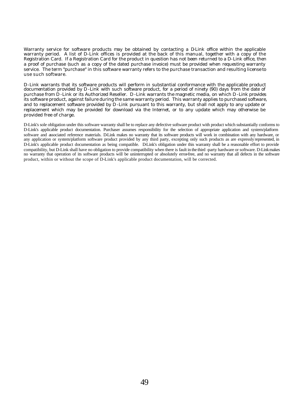Warranty service for software products may be obtained by contacting a D-Link office within the applicable warranty period. A list of D-Link offices is provided at the back of this manual, together with a copy of the Registration Card. If a Registration Card for the product in question has not been returned to a D-Link office, then a proof of purchase (such as a copy of the dated purchase invoice) must be provided when requesting warranty service. The term "purchase" in this software warranty refers to the purchase transaction and resulting license to use such software.

D-Link warrants that its software products will perform in substantial conformance with the applicable product documentation provided by D-Link with such software product, for a period of ninety (90) days from the date of purchase from D-Link or its Authorized Reseller. D-Link warrants the magnetic media, on which D-Link provides its software product, against failure during the same warranty period. This warranty applies to purchased software, and to replacement software provided by D-Link pursuant to this warranty, but shall not apply to any update or replacement which may be provided for download via the Internet, or to any update which may otherwise be provided free of charge.

D-Link's sole obligation under this software warranty shall be to replace any defective software product with product which substantially conforms to D-Link's applicable product documentation. Purchaser assumes responsibility for the selection of appropriate application and system/platform software and associated reference materials. D-Link makes no warranty that its software products will work in combination with any hardware, or any application or system/platform software product provided by any third party, excepting only such products as are expressly represented, in D-Link's applicable product documentation as being compatible. D-Link's obligation under this warranty shall be a reasonable effort to provide compatibility, but D-Link shall have no obligation to provide compatibility when there is fault in the third -party hardware or software. D-Link makes no warranty that operation of its software products will be uninterrupted or absolutely error-free, and no warranty that all defects in the software product, within or without the scope of D-Link's applicable product documentation, will be corrected.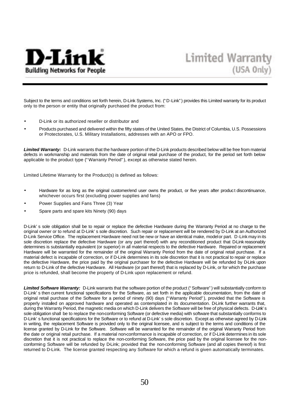

Subject to the terms and conditions set forth herein, D-Link Systems, Inc. ("D-Link") provides this Limited warranty for its product only to the person or entity that originally purchased the product from:

- D-Link or its authorized reseller or distributor and
- Products purchased and delivered within the fifty states of the United States, the District of Columbia, U.S. Possessions or Protectorates, U.S. Military Installations, addresses with an APO or FPO.

*Limited Warranty:*D-Link warrants that the hardware portion of the D-Link products described below will be free from material defects in workmanship and materials from the date of original retail purchase of the product, for the period set forth below applicable to the product type ("Warranty Period"), except as otherwise stated herein.

Limited Lifetime Warranty for the Product(s) is defined as follows:

- Hardware for as long as the original customer/end user owns the product, or five years after product discontinuance, whichever occurs first (excluding power supplies and fans)
- Power Supplies and Fans Three (3) Year
- Spare parts and spare kits Ninety (90) days

D-Link's sole obligation shall be to repair or replace the defective Hardware during the Warranty Period at no charge to the original owner or to refund at D-Link's sole discretion. Such repair or replacement will be rendered by D-Link at an Authorized D-Link Service Office. The replacement Hardware need not be new or have an identical make, model or part. D-Link may in its sole discretion replace the defective Hardware (or any part thereof) with any reconditioned product that D-Link reasonably determines is substantially equivalent (or superior) in all material respects to the defective Hardware. Repaired or replacement Hardware will be warranted for the remainder of the original Warranty Period from the date of original retail purchase. If a material defect is incapable of correction, or if D-Link determines in its sole discretion that it is not practical to repair or replace the defective Hardware, the price paid by the original purchaser for the defective Hardware will be refunded by D-Link upon return to D-Link of the defective Hardware. All Hardware (or part thereof) that is replaced by D-Link, or for which the purchase price is refunded, shall become the property of D-Link upon replacement or refund.

*Limited Software Warranty:* D-Link warrants that the software portion of the product ("Software") will substantially conform to D-Link's then current functional specifications for the Software, as set forth in the applicable documentation, from the date of original retail purchase of the Software for a period of ninety (90) days ("Warranty Period"), provided that the Software is properly installed on approved hardware and operated as contemplated in its documentation. D-Link further warrants that, during the Warranty Period, the magnetic media on which D-Link delivers the Software will be free of physical defects. D-Link's sole obligation shall be to replace the non-conforming Software (or defective media) with software that substantially conforms to D-Link's functional specifications for the Software or to refund at D-Link's sole discretion. Except as otherwise agreed by D-Link in writing, the replacement Software is provided only to the original licensee, and is subject to the terms and conditions of the license granted by D-Link for the Software. Software will be warranted for the remainder of the original Warranty Period from the date or original retail purchase. If a material non-conformance is incapable of correction, or if D-Link determines in its sole discretion that it is not practical to replace the non-conforming Software, the price paid by the original licensee for the nonconforming Software will be refunded by D-Link; provided that the non-conforming Software (and all copies thereof) is first returned to D-Link. The license granted respecting any Software for which a refund is given automatically terminates.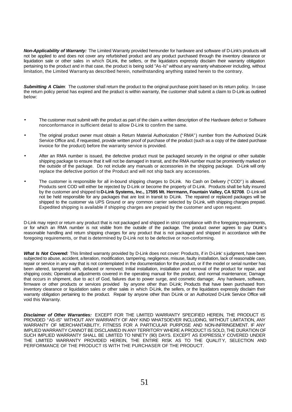*Non-Applicability of Warranty:* The Limited Warranty provided hereunder for hardware and software of D-Link's products will not be applied to and does not cover any refurbished product and any product purchased through the inventory clearance or liquidation sale or other sales in which DLink, the sellers, or the liquidators expressly disclaim their warranty obligation pertaining to the product and in that case, the product is being sold "As -Is" without any warranty whatsoever including, without limitation, the Limited Warranty as described herein, notwithstanding anything stated herein to the contrary.

*Submitting A Claim:* The customer shall return the product to the original purchase point based on its return policy. In case the return policy period has expired and the product is within warranty, the customer shall submit a claim to D-Link as outlined below:

- The customer must submit with the product as part of the claim a written description of the Hardware defect or Software nonconformance in sufficient detail to allow D-Link to confirm the same.
- The original product owner must obtain a Return Material Authorization ("RMA") number from the Authorized D-Link Service Office and, if requested, provide written proof of purchase of the product (such as a copy of the dated purchase invoice for the product) before the warranty service is provided.
- After an RMA number is issued, the defective product must be packaged securely in the original or other suitable shipping package to ensure that it will not be damaged in transit, and the RMA number must be prominently marked on the outside of the package. Do not include any manuals or accessories in the shipping package. D-Link will only replace the defective portion of the Product and will not ship back any accessories.
- The customer is responsible for all in-bound shipping charges to D-Link. No Cash on Delivery ("COD") is allowed. Products sent COD will either be rejected by D-Link or become the property of D-Link. Products shall be fully insured by the customer and shipped to **D-Link Systems, Inc., 17595 Mt. Herrmann, Fountain Valley, CA 92708**. D-Link will not be held responsible for any packages that are lost in transit to D-Link. The repaired or replaced packages will be shipped to the customer via UPS Ground or any common carrier selected by D-Link, with shipping charges prepaid. Expedited shipping is available if shipping charges are prepaid by the customer and upon request.

D-Link may reject or return any product that is not packaged and shipped in strict compliance with the foregoing requirements, or for which an RMA number is not visible from the outside of the package. The product owner agrees to pay DLink's reasonable handling and return shipping charges for any product that is not packaged and shipped in accordance with the foregoing requirements, or that is determined by D-Link not to be defective or non-conforming.

*What Is Not Covered:* This limited warranty provided by D-Link does not cover: Products, if in D-Link's judgment, have been subjected to abuse, accident, alteration, modification, tampering, negligence, misuse, faulty installation, lack of reasonable care, repair or service in any way that is not contemplated in the documentation for the product, or if the model or serial number has been altered, tampered with, defaced or removed; Initial installation, installation and removal of the product for repair, and shipping costs; Operational adjustments covered in the operating manual for the product, and normal maintenance; Damage that occurs in shipment, due to act of God, failures due to power surge, and cosmetic damage; Any hardware, software, firmware or other products or services provided by anyone other than D-Link; Products that have been purchased from inventory clearance or liquidation sales or other sales in which D-Link, the sellers, or the liquidators expressly disclaim their warranty obligation pertaining to the product. Repair by anyone other than D-Link or an Authorized D-Link Service Office will void this Warranty.

*Disclaimer of Other Warranties:* EXCEPT FOR THE LIMITED WARRANTY SPECIFIED HEREIN, THE PRODUCT IS PROVIDED "AS-IS" WITHOUT ANY WARRANTY OF ANY KIND WHATSOEVER INCLUDING, WITHOUT LIMITATION, ANY WARRANTY OF MERCHANTABILITY, FITNESS FOR A PARTICULAR PURPOSE AND NON-INFRINGEMENT. IF ANY IMPLIED WARRANTY CANNOT BE DISCLAIMED IN ANY TERRITORY WHERE A PRODUCT IS SOLD, THE DURATION OF SUCH IMPLIED WARRANTY SHALL BE LIMITED TO NINETY (90) DAYS. EXCEPT AS EXPRESSLY COVERED UNDER THE LIMITED WARRANTY PROVIDED HEREIN, THE ENTIRE RISK AS TO THE QUALITY, SELECTION AND PERFORMANCE OF THE PRODUCT IS WITH THE PURCHASER OF THE PRODUCT.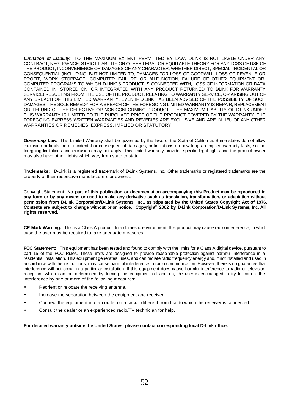Limitation of Liability: TO THE MAXIMUM EXTENT PERMITTED BY LAW, DLINK IS NOT LIABLE UNDER ANY CONTRACT, NEGLIGENCE, STRICT LIABILITY OR OTHER LEGAL OR EQUITABLE THEORY FOR ANY LOSS OF USE OF THE PRODUCT, INCONVENIENCE OR DAMAGES OF ANY CHARACTER, WHETHER DIRECT, SPECIAL, INCIDENTAL OR CONSEQUENTIAL (INCLUDING, BUT NOT LIMITED TO, DAMAGES FOR LOSS OF GOODWILL, LOSS OF REVENUE OR PROFIT, WORK STOPPAGE, COMPUTER FAILURE OR MALFUNCTION, FAILURE OF OTHER EQUIPMENT OR COMPUTER PROGRAMS TO WHICH D-LINK'S PRODUCT IS CONNECTED WITH, LOSS OF INFORMATION OR DATA CONTAINED IN, STORED ON, OR INTEGRATED WITH ANY PRODUCT RETURNED TO DLINK FOR WARRANTY SERVICE) RESULTING FROM THE USE OF THE PRODUCT, RELATING TO WARRANTY SERVICE, OR ARISING OUT OF ANY BREACH OF THIS LIMITED WARRANTY, EVEN IF D-LINK HAS BEEN ADVISED OF THE POSSIBILITY OF SUCH DAMAGES. THE SOLE REMEDY FOR A BREACH OF THE FOREGOING LIMITED WARRANTY IS REPAIR, REPLACEMENT OR REFUND OF THE DEFECTIVE OR NON-CONFORMING PRODUCT. THE MAXIMUM LIABILITY OF D-LINK UNDER THIS WARRANTY IS LIMITED TO THE PURCHASE PRICE OF THE PRODUCT COVERED BY THE WARRANTY. THE FOREGOING EXPRESS WRITTEN WARRANTIES AND REMEDIES ARE EXCLUSIVE AND ARE IN LIEU OF ANY OTHER WARRANTIES OR REMEDIES, EXPRESS, IMPLIED OR STATUTORY

*Governing Law*: This Limited Warranty shall be governed by the laws of the State of California. Some states do not allow exclusion or limitation of incidental or consequential damages, or limitations on how long an implied warranty lasts, so the foregoing limitations and exclusions may not apply. This limited warranty provides specific legal rights and the product owner may also have other rights which vary from state to state.

Trademarks: D-Link is a registered trademark of D-Link Systems, Inc. Other trademarks or registered trademarks are the property of their respective manufacturers or owners.

Copyright Statement: **No part of this publication or documentation accompanying this Product may be reproduced in any form or by any means or used to make any derivative such as translation, transformation, or adaptation without permission from D-Link Corporation/D-Link Systems, Inc., as stipulated by the United States Copyright Act of 1976. Contents are subject to change without prior notice. Copyright© 2002 by D-Link Corporation/D-Link Systems, Inc. All rights reserved.**

**CE Mark Warning:** This is a Class A product. In a domestic environment, this product may cause radio interference, in which case the user may be required to take adequate measures.

**FCC Statement:** This equipment has been tested and found to comply with the limits for a Class A digital device, pursuant to part 15 of the FCC Rules. These limits are designed to provide reasonable protection against harmful interference in a residential installation. This equipment generates, uses, and can radiate radio frequency energy and, if not installed and used in accordance with the instructions, may cause harmful interference to radio communication. However, there is no guarantee that interference will not occur in a particular installation. If this equipment does cause harmful interference to radio or television reception, which can be determined by turning the equipment off and on, the user is encouraged to try to correct the interference by one or more of the following measures**:**

- Reorient or relocate the receiving antenna.
- Increase the separation between the equipment and receiver.
- Connect the equipment into an outlet on a circuit different from that to which the receiver is connected.
- Consult the dealer or an experienced radio/TV technician for help.

**For detailed warranty outside the United States, please contact corresponding local D-Link office.**